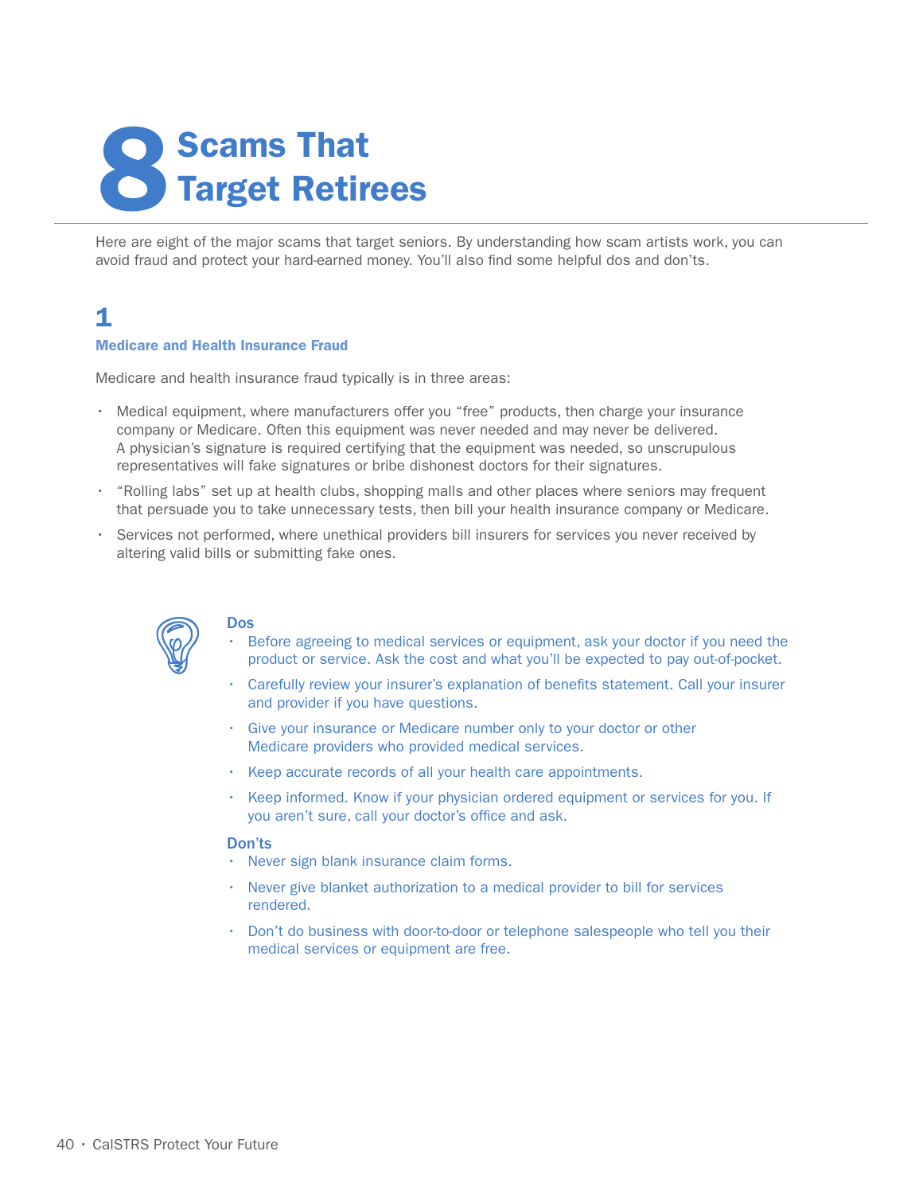# **Scams That<br>Target Retirees**

Here are eight of the major scams that target seniors. By understanding how scam artists work, you can avoid fraud and protect your hard-earned money. You'll also find some helpful dos and don'ts.

## 1

#### Medicare and Health Insurance Fraud

Medicare and health insurance fraud typically is in three areas:

- Medical equipment, where manufacturers offer you "free" products, then charge your insurance company or Medicare. Often this equipment was never needed and may never be delivered. A physician's signature is required certifying that the equipment was needed, so unscrupulous representatives will fake signatures or bribe dishonest doctors for their signatures.
- "Rolling labs" set up at health clubs, shopping malls and other places where seniors may frequent that persuade you to take unnecessary tests, then bill your health insurance company or Medicare.
- Services not performed, where unethical providers bill insurers for services you never received by altering valid bills or submitting fake ones.



#### Dos

- Before agreeing to medical services or equipment, ask your doctor if you need the product or service. Ask the cost and what you'll be expected to pay out-of-pocket.
- Carefully review your insurer's explanation of benefits statement. Call your insurer and provider if you have questions.
- Give your insurance or Medicare number only to your doctor or other Medicare providers who provided medical services.
- Keep accurate records of all your health care appointments.
- Keep informed. Know if your physician ordered equipment or services for you. If you aren't sure, call your doctor's office and ask.

#### Don'ts

- Never sign blank insurance claim forms.
- Never give blanket authorization to a medical provider to bill for services rendered.
- Don't do business with door-to-door or telephone salespeople who tell you their medical services or equipment are free.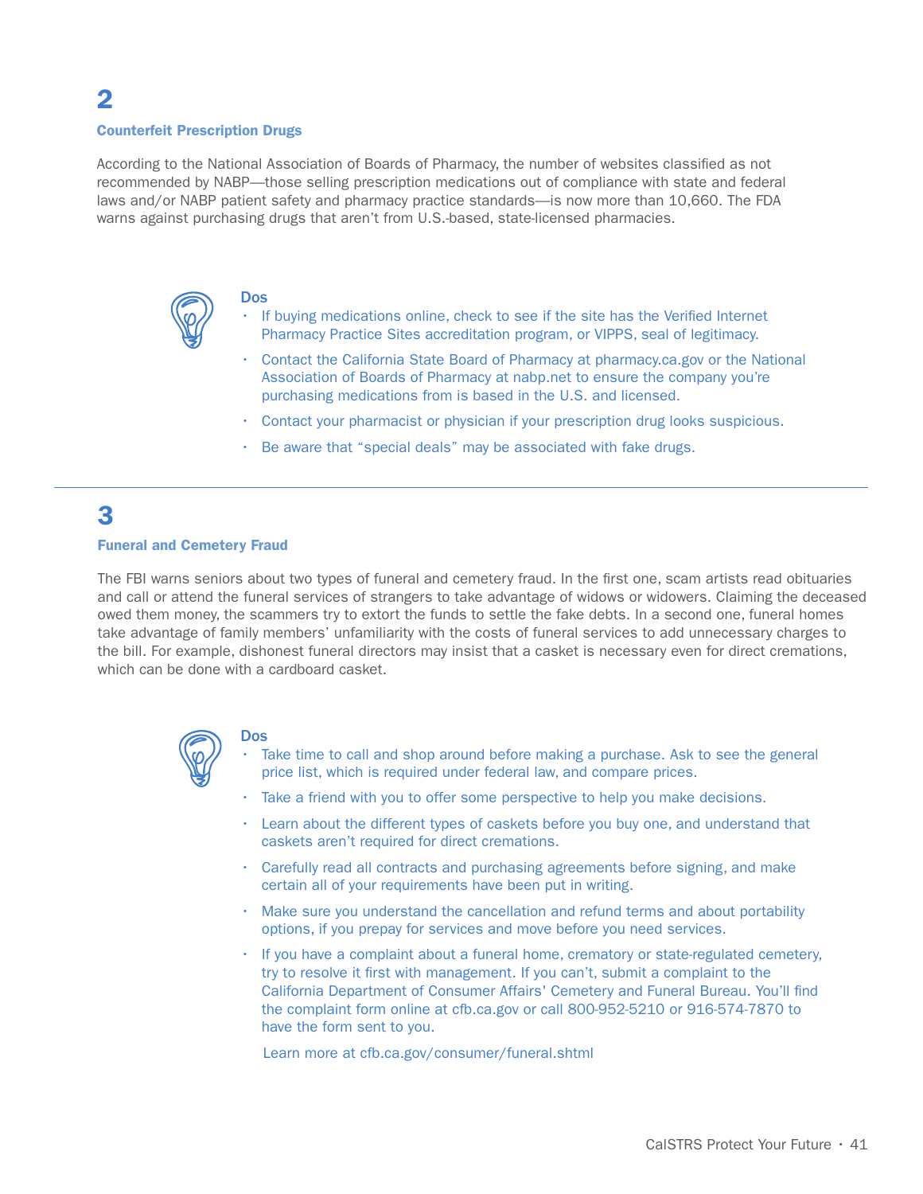## 2

#### Counterfeit Prescription Drugs

According to the National Association of Boards of Pharmacy, the number of websites classified as not recommended by NABP—those selling prescription medications out of compliance with state and federal laws and/or NABP patient safety and pharmacy practice standards—is now more than 10,660. The FDA warns against purchasing drugs that aren't from U.S.-based, state-licensed pharmacies.



#### Dos

- If buying medications online, check to see if the site has the Verified Internet Pharmacy Practice Sites accreditation program, or VIPPS, seal of legitimacy.
- Contact the California State Board of Pharmacy at pharmacy.ca.gov or the National Association of Boards of Pharmacy at nabp.net to ensure the company you're purchasing medications from is based in the U.S. and licensed.
- Contact your pharmacist or physician if your prescription drug looks suspicious.
- Be aware that "special deals" may be associated with fake drugs.

# 3

#### Funeral and Cemetery Fraud

The FBI warns seniors about two types of funeral and cemetery fraud. In the first one, scam artists read obituaries and call or attend the funeral services of strangers to take advantage of widows or widowers. Claiming the deceased owed them money, the scammers try to extort the funds to settle the fake debts. In a second one, funeral homes take advantage of family members' unfamiliarity with the costs of funeral services to add unnecessary charges to the bill. For example, dishonest funeral directors may insist that a casket is necessary even for direct cremations, which can be done with a cardboard casket.



#### Dos

- Take time to call and shop around before making a purchase. Ask to see the general price list, which is required under federal law, and compare prices.
- Take a friend with you to offer some perspective to help you make decisions.
- Learn about the different types of caskets before you buy one, and understand that caskets aren't required for direct cremations.
- Carefully read all contracts and purchasing agreements before signing, and make certain all of your requirements have been put in writing.
- Make sure you understand the cancellation and refund terms and about portability options, if you prepay for services and move before you need services.
- If you have a complaint about a funeral home, crematory or state-regulated cemetery, try to resolve it first with management. If you can't, submit a complaint to the California Department of Consumer Affairs' Cemetery and Funeral Bureau. You'll find the complaint form online at cfb.ca.gov or call 800-952-5210 or 916-574-7870 to have the form sent to you.

Learn more at cfb.ca.gov/consumer/funeral.shtml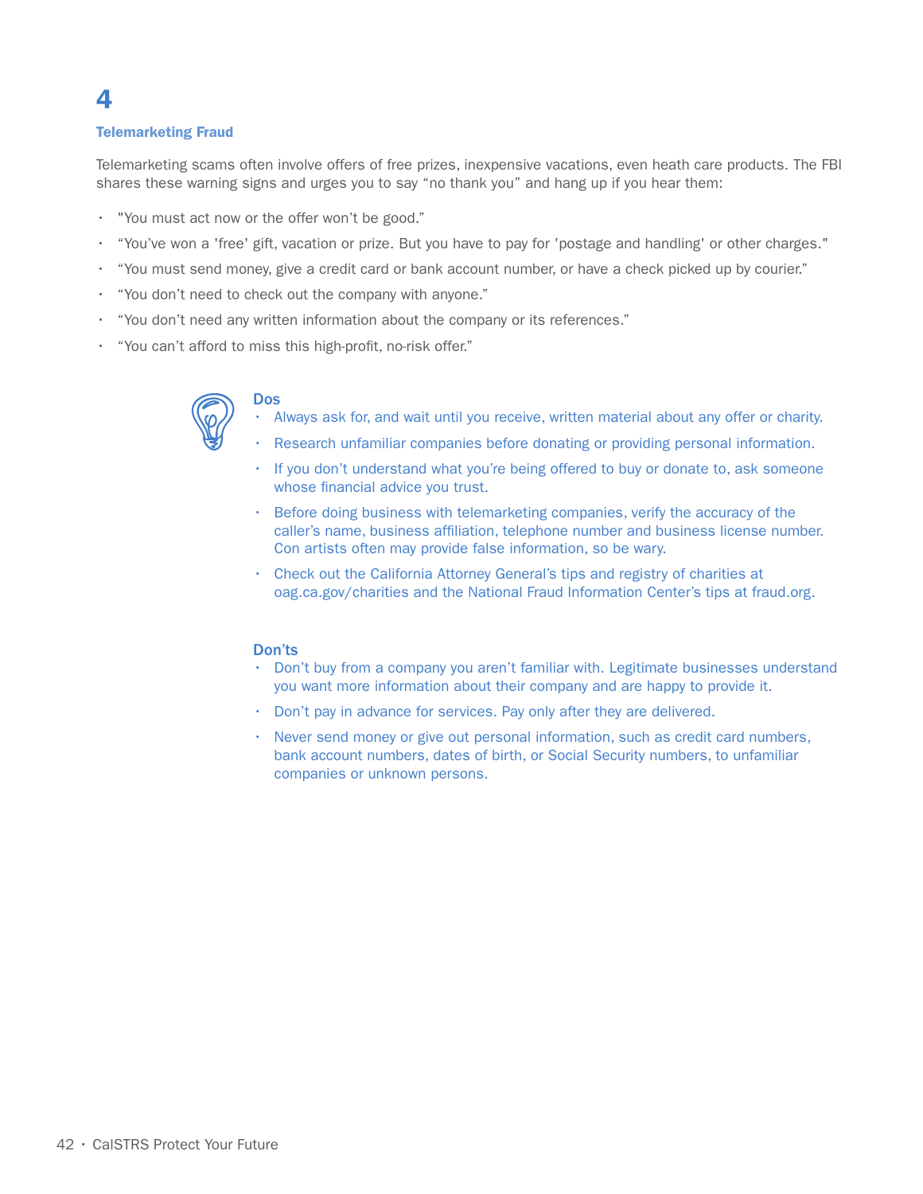#### Telemarketing Fraud

4

Telemarketing scams often involve offers of free prizes, inexpensive vacations, even heath care products. The FBI shares these warning signs and urges you to say "no thank you" and hang up if you hear them:

- "You must act now or the offer won't be good."
- "You've won a 'free' gift, vacation or prize. But you have to pay for 'postage and handling' or other charges."
- "You must send money, give a credit card or bank account number, or have a check picked up by courier."
- "You don't need to check out the company with anyone."
- "You don't need any written information about the company or its references."
- "You can't afford to miss this high-profit, no-risk offer."



#### Dos

- Always ask for, and wait until you receive, written material about any offer or charity.
- Research unfamiliar companies before donating or providing personal information.
- If you don't understand what you're being offered to buy or donate to, ask someone whose financial advice you trust.
- Before doing business with telemarketing companies, verify the accuracy of the caller's name, business affiliation, telephone number and business license number. Con artists often may provide false information, so be wary.
- Check out the California Attorney General's tips and registry of charities at oag.ca.gov/charities and the National Fraud Information Center's tips at fraud.org.

#### Don'ts

- Don't buy from a company you aren't familiar with. Legitimate businesses understand you want more information about their company and are happy to provide it.
- Don't pay in advance for services. Pay only after they are delivered.
- Never send money or give out personal information, such as credit card numbers, bank account numbers, dates of birth, or Social Security numbers, to unfamiliar companies or unknown persons.

#### 42 • CalSTRS Protect Your Future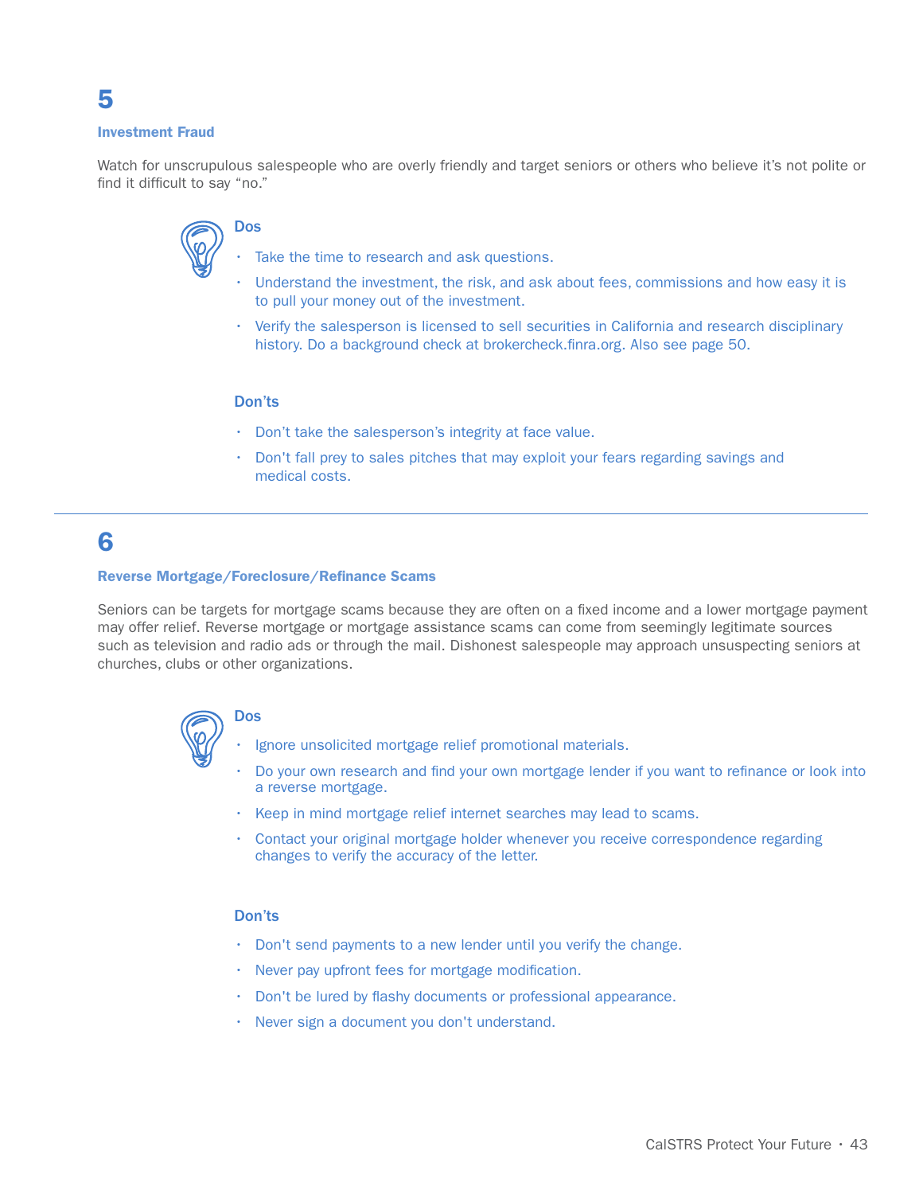#### Investment Fraud

5

Watch for unscrupulous salespeople who are overly friendly and target seniors or others who believe it's not polite or find it difficult to say "no."

# Dos

- Take the time to research and ask questions.
- Understand the investment, the risk, and ask about fees, commissions and how easy it is to pull your money out of the investment.
- Verify the salesperson is licensed to sell securities in California and research disciplinary history. Do a background check at brokercheck.finra.org. Also see page 50.

#### Don'ts

- Don't take the salesperson's integrity at face value.
- Don't fall prey to sales pitches that may exploit your fears regarding savings and medical costs.

# 6

#### Reverse Mortgage/Foreclosure/Refinance Scams

Seniors can be targets for mortgage scams because they are often on a fixed income and a lower mortgage payment may offer relief. Reverse mortgage or mortgage assistance scams can come from seemingly legitimate sources such as television and radio ads or through the mail. Dishonest salespeople may approach unsuspecting seniors at churches, clubs or other organizations.



- Dos
	- Ignore unsolicited mortgage relief promotional materials.
- Do your own research and find your own mortgage lender if you want to refinance or look into a reverse mortgage.
- Keep in mind mortgage relief internet searches may lead to scams.
- Contact your original mortgage holder whenever you receive correspondence regarding changes to verify the accuracy of the letter.

#### Don'ts

- Don't send payments to a new lender until you verify the change.
- Never pay upfront fees for mortgage modification.
- Don't be lured by flashy documents or professional appearance.
- Never sign a document you don't understand.